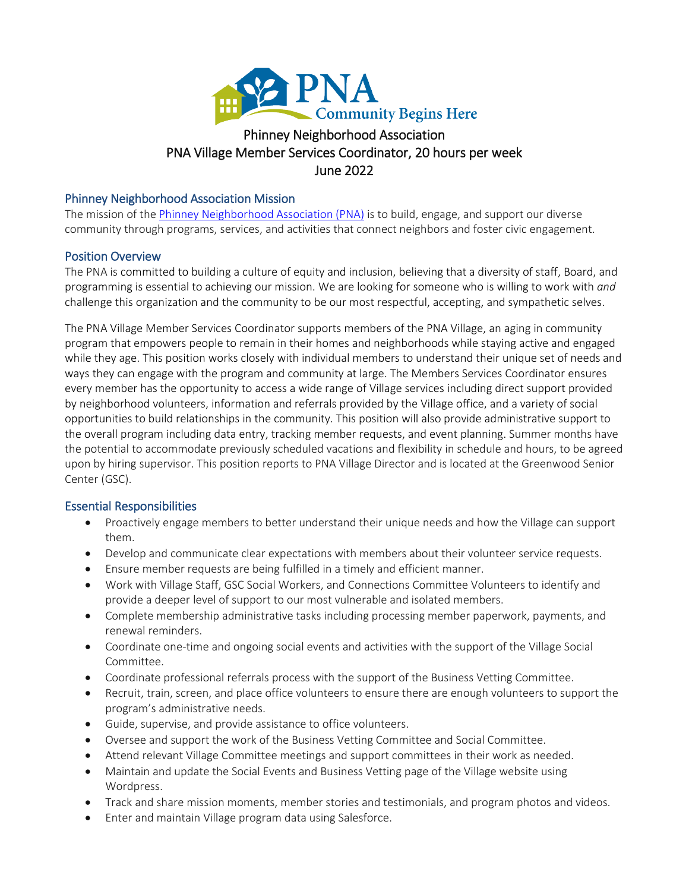

# PNA Village Member Services Coordinator, 20 hours per week Phinney Neighborhood A<br>PNA Village Member Services Coordina<br>June 2022<br>Phinney Neighborhood Association Mission

The mission of th[e Phinney Neighborhood Association \(PNA\)](http://www.phinneycenter.org/) is to build, engage, and support our diverse community through programs, services, and activities that connect neighbors and foster civic engagement.

# Position Overview

The PNA is committed to building a culture of equity and inclusion, believing that a diversity of staff, Board, and programming is essential to achieving our mission. We are looking for someone who is willing to work with *and* challenge this organization and the community to be our most respectful, accepting, and sympathetic selves.

The PNA Village Member Services Coordinator supports members of the PNA Village, an aging in community program that empowers people to remain in their homes and neighborhoods while staying active and engaged while they age. This position works closely with individual members to understand their unique set of needs and ways they can engage with the program and community at large. The Members Services Coordinator ensures every member has the opportunity to access a wide range of Village services including direct support provided by neighborhood volunteers, information and referrals provided by the Village office, and a variety of social opportunities to build relationships in the community. This position will also provide administrative support to the overall program including data entry, tracking member requests, and event planning. Summer months have the potential to accommodate previously scheduled vacations and flexibility in schedule and hours, to be agreed upon by hiring supervisor. This position reports to PNA Village Director and is located at the Greenwood Senior Center (GSC).

# Essential Responsibilities

- Proactively engage members to better understand their unique needs and how the Village can support them.
- Develop and communicate clear expectations with members about their volunteer service requests.
- Ensure member requests are being fulfilled in a timely and efficient manner.
- Work with Village Staff, GSC Social Workers, and Connections Committee Volunteers to identify and provide a deeper level of support to our most vulnerable and isolated members.
- Complete membership administrative tasks including processing member paperwork, payments, and renewal reminders.
- Coordinate one-time and ongoing social events and activities with the support of the Village Social Committee.
- Coordinate professional referrals process with the support of the Business Vetting Committee.
- Recruit, train, screen, and place office volunteers to ensure there are enough volunteers to support the program's administrative needs.
- Guide, supervise, and provide assistance to office volunteers.
- Oversee and support the work of the Business Vetting Committee and Social Committee.
- Attend relevant Village Committee meetings and support committees in their work as needed.
- Maintain and update the Social Events and Business Vetting page of the Village website using Wordpress.
- Track and share mission moments, member stories and testimonials, and program photos and videos.
- Enter and maintain Village program data using Salesforce.